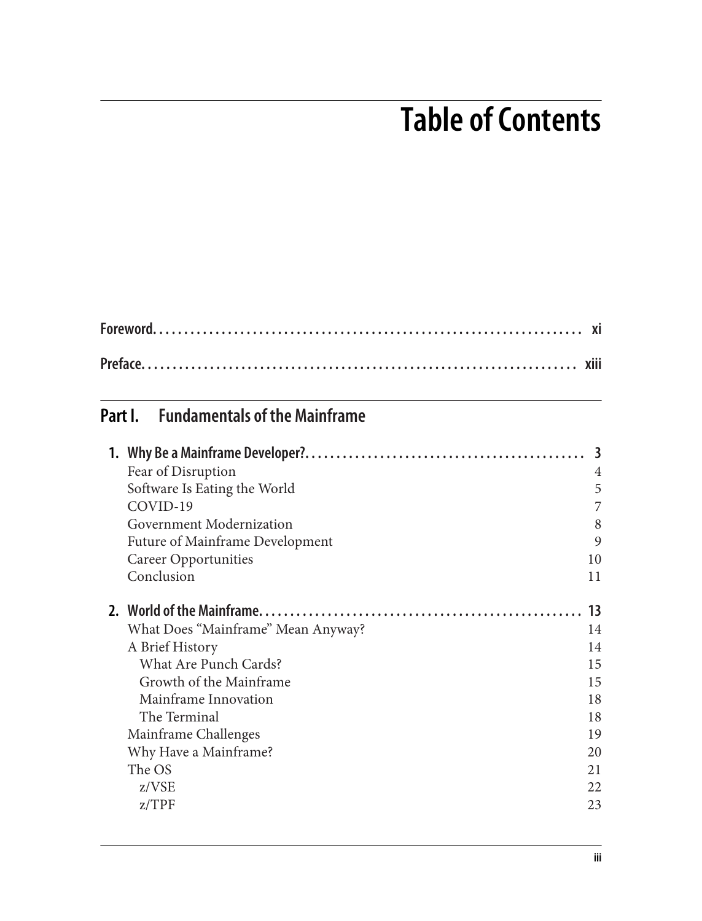## **Table of Contents**

## **Part I. Fundamentals of the Mainframe**

| Fear of Disruption                 | 4  |
|------------------------------------|----|
| Software Is Eating the World       | 5  |
| COVID-19                           | 7  |
| Government Modernization           | 8  |
| Future of Mainframe Development    | 9  |
| Career Opportunities               | 10 |
| Conclusion                         | 11 |
|                                    | 13 |
| What Does "Mainframe" Mean Anyway? | 14 |
| A Brief History                    | 14 |
| <b>What Are Punch Cards?</b>       | 15 |
| Growth of the Mainframe            | 15 |
| Mainframe Innovation               | 18 |
| The Terminal                       | 18 |
| Mainframe Challenges               | 19 |
| Why Have a Mainframe?              | 20 |
| The OS                             | 21 |
| z/VSE                              | 22 |
| Z/TPF                              | 23 |
|                                    |    |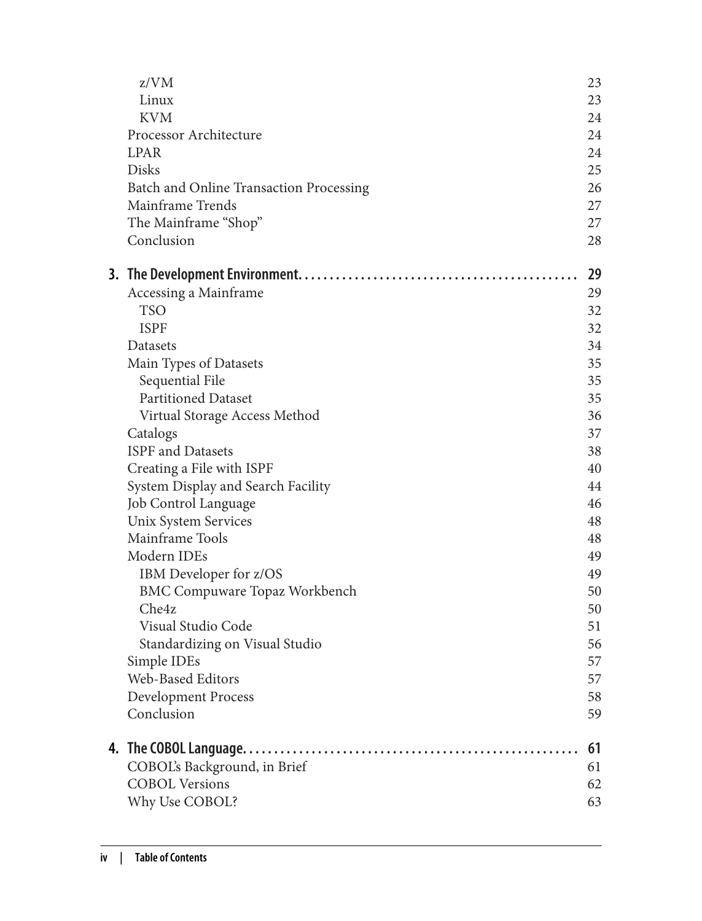| z/VM                                    | 23 |
|-----------------------------------------|----|
| Linux                                   | 23 |
| <b>KVM</b>                              | 24 |
| Processor Architecture                  | 24 |
| <b>LPAR</b>                             | 24 |
| <b>Disks</b>                            | 25 |
| Batch and Online Transaction Processing | 26 |
| Mainframe Trends                        | 27 |
| The Mainframe "Shop"                    | 27 |
| Conclusion                              | 28 |
|                                         | 29 |
| Accessing a Mainframe                   | 29 |
| <b>TSO</b>                              | 32 |
| <b>ISPF</b>                             | 32 |
| Datasets                                | 34 |
| Main Types of Datasets                  | 35 |
| Sequential File                         | 35 |
| <b>Partitioned Dataset</b>              | 35 |
| Virtual Storage Access Method           | 36 |
| Catalogs                                | 37 |
| <b>ISPF</b> and Datasets                | 38 |
| Creating a File with ISPF               | 40 |
| System Display and Search Facility      | 44 |
| Job Control Language                    | 46 |
| Unix System Services                    | 48 |
| Mainframe Tools                         | 48 |
| Modern IDEs                             | 49 |
| IBM Developer for z/OS                  | 49 |
| <b>BMC Compuware Topaz Workbench</b>    | 50 |
| Che4z                                   | 50 |
| Visual Studio Code                      | 51 |
| Standardizing on Visual Studio          | 56 |
| Simple IDEs                             | 57 |
| Web-Based Editors                       | 57 |
| <b>Development Process</b>              | 58 |
| Conclusion                              | 59 |
|                                         | 61 |
| COBOL's Background, in Brief            | 61 |
| <b>COBOL Versions</b>                   | 62 |
| Why Use COBOL?                          | 63 |
|                                         |    |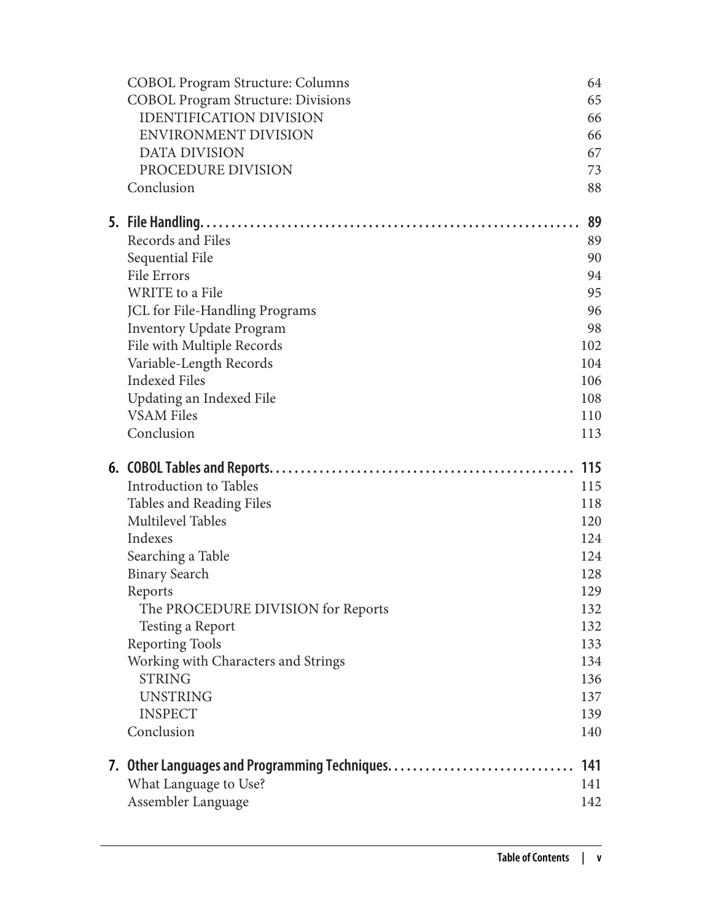| <b>COBOL Program Structure: Columns</b>     | 64         |
|---------------------------------------------|------------|
| <b>COBOL Program Structure: Divisions</b>   | 65         |
| <b>IDENTIFICATION DIVISION</b>              | 66         |
| ENVIRONMENT DIVISION                        | 66         |
| <b>DATA DIVISION</b>                        | 67         |
| PROCEDURE DIVISION                          | 73         |
| Conclusion                                  | 88         |
|                                             | 89         |
| Records and Files                           | 89         |
| Sequential File                             | 90         |
| File Errors                                 | 94         |
| WRITE to a File                             | 95         |
| JCL for File-Handling Programs              | 96         |
| <b>Inventory Update Program</b>             | 98         |
| File with Multiple Records                  | 102        |
| Variable-Length Records                     | 104        |
| <b>Indexed Files</b>                        | 106        |
| Updating an Indexed File                    | 108        |
| <b>VSAM Files</b>                           | 110        |
| Conclusion                                  | 113        |
|                                             |            |
|                                             | 115        |
| Introduction to Tables                      | 115        |
| Tables and Reading Files                    | 118        |
| <b>Multilevel Tables</b>                    | 120        |
| Indexes                                     | 124        |
| Searching a Table                           | 124        |
| <b>Binary Search</b>                        | 128        |
| Reports                                     | 129        |
| The PROCEDURE DIVISION for Reports          | 132        |
| Testing a Report                            | 132        |
| <b>Reporting Tools</b>                      | 133        |
| Working with Characters and Strings         | 134        |
| <b>STRING</b>                               | 136        |
| <b>UNSTRING</b>                             | 137        |
| <b>INSPECT</b>                              | 139        |
| Conclusion                                  | 140        |
|                                             | 141        |
| What Language to Use?<br>Assembler Language | 141<br>142 |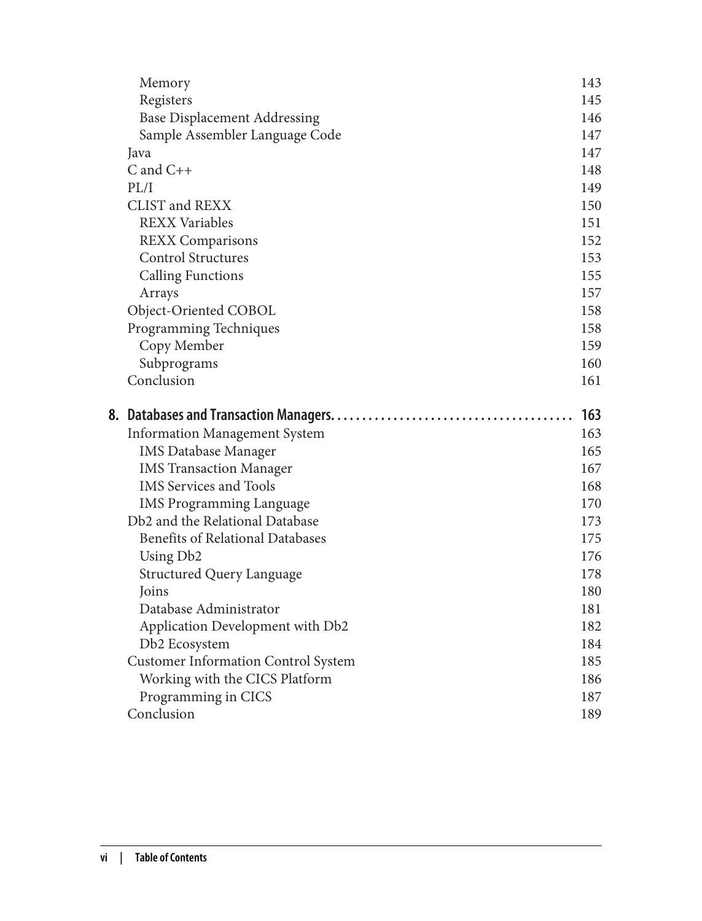|    | Memory                                     | 143 |
|----|--------------------------------------------|-----|
|    | Registers                                  | 145 |
|    | <b>Base Displacement Addressing</b>        | 146 |
|    | Sample Assembler Language Code             | 147 |
|    | Java                                       | 147 |
|    | $C$ and $C++$                              | 148 |
|    | PL/I                                       | 149 |
|    | CLIST and REXX                             | 150 |
|    | <b>REXX Variables</b>                      | 151 |
|    | <b>REXX Comparisons</b>                    | 152 |
|    | <b>Control Structures</b>                  | 153 |
|    | <b>Calling Functions</b>                   | 155 |
|    | Arrays                                     | 157 |
|    | Object-Oriented COBOL                      | 158 |
|    | Programming Techniques                     | 158 |
|    | Copy Member                                | 159 |
|    | Subprograms                                | 160 |
|    | Conclusion                                 | 161 |
|    |                                            |     |
| 8. |                                            | 163 |
|    | <b>Information Management System</b>       | 163 |
|    | <b>IMS Database Manager</b>                | 165 |
|    | <b>IMS Transaction Manager</b>             | 167 |
|    | <b>IMS</b> Services and Tools              | 168 |
|    | <b>IMS Programming Language</b>            | 170 |
|    | Db2 and the Relational Database            | 173 |
|    | <b>Benefits of Relational Databases</b>    | 175 |
|    | Using Db <sub>2</sub>                      | 176 |
|    | <b>Structured Query Language</b>           | 178 |
|    | Joins                                      | 180 |
|    | Database Administrator                     | 181 |
|    | Application Development with Db2           | 182 |
|    | Db2 Ecosystem                              | 184 |
|    | <b>Customer Information Control System</b> | 185 |
|    | Working with the CICS Platform             | 186 |
|    |                                            | 187 |
|    | Programming in CICS<br>Conclusion          | 189 |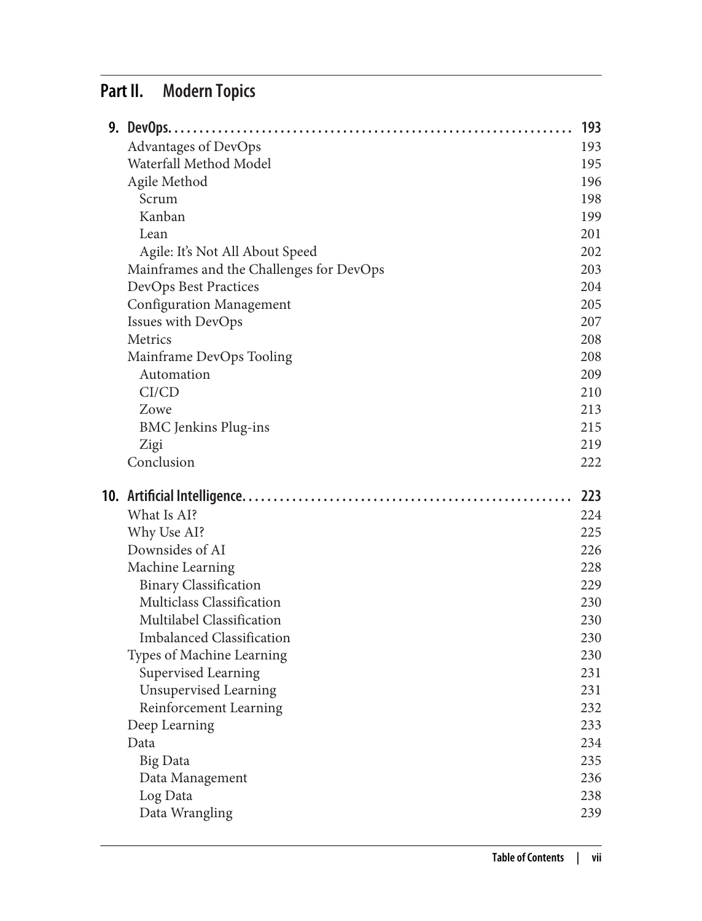## **Part II. Modern Topics**

|                                                           | 193        |
|-----------------------------------------------------------|------------|
| Advantages of DevOps                                      | 193        |
| Waterfall Method Model                                    | 195        |
| Agile Method                                              | 196        |
| Scrum                                                     | 198        |
| Kanban                                                    | 199        |
| Lean                                                      | 201        |
| Agile: It's Not All About Speed                           | 202        |
| Mainframes and the Challenges for DevOps                  | 203        |
| DevOps Best Practices                                     | 204        |
| <b>Configuration Management</b>                           | 205        |
| Issues with DevOps                                        | 207        |
| Metrics                                                   | 208        |
| Mainframe DevOps Tooling                                  | 208        |
| Automation                                                | 209        |
| CI/CD                                                     | 210        |
| Zowe                                                      | 213        |
| <b>BMC</b> Jenkins Plug-ins                               | 215        |
| Zigi                                                      | 219        |
| Conclusion                                                | 222        |
|                                                           |            |
|                                                           |            |
| What Is AI?                                               | 223<br>224 |
|                                                           |            |
| Why Use AI?                                               | 225<br>226 |
| Downsides of AI                                           | 228        |
| Machine Learning                                          | 229        |
| <b>Binary Classification</b><br>Multiclass Classification | 230        |
| Multilabel Classification                                 | 230        |
| <b>Imbalanced Classification</b>                          | 230        |
|                                                           | 230        |
| Types of Machine Learning<br>Supervised Learning          | 231        |
| Unsupervised Learning                                     | 231        |
| Reinforcement Learning                                    | 232        |
| Deep Learning                                             | 233        |
| Data                                                      | 234        |
| <b>Big Data</b>                                           | 235        |
| Data Management                                           | 236        |
| Log Data                                                  | 238        |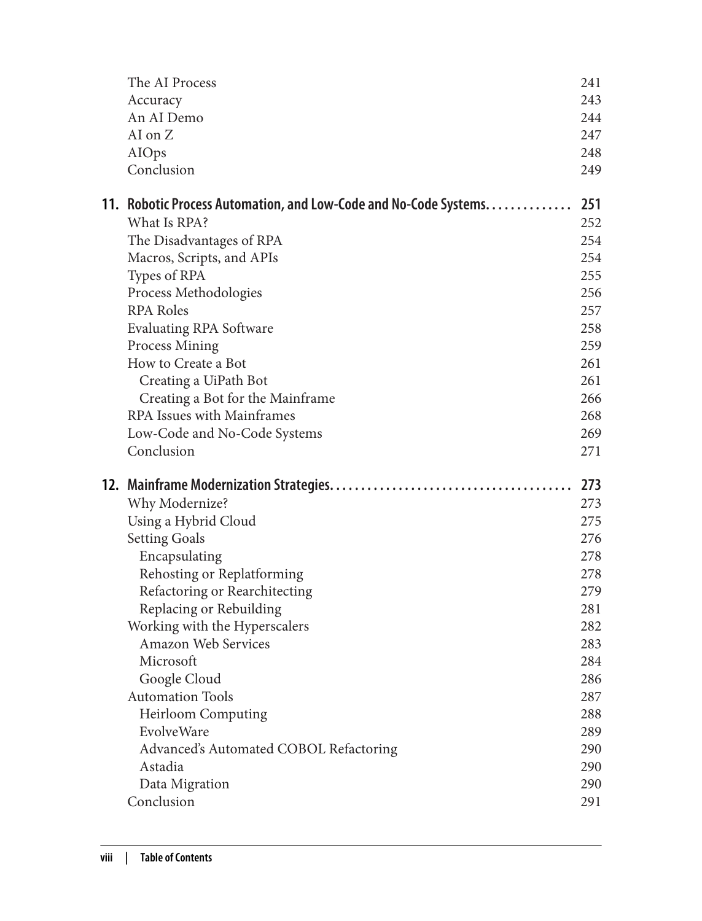| The AI Process<br>Accuracy<br>An AI Demo<br>AI on Z               | 241<br>243<br>244<br>247 |
|-------------------------------------------------------------------|--------------------------|
| AIOps<br>Conclusion                                               | 248<br>249               |
| 11. Robotic Process Automation, and Low-Code and No-Code Systems. | 251                      |
| What Is RPA?                                                      | 252                      |
| The Disadvantages of RPA                                          | 254                      |
| Macros, Scripts, and APIs                                         | 254                      |
| Types of RPA                                                      | 255<br>256               |
| Process Methodologies<br><b>RPA Roles</b>                         | 257                      |
| <b>Evaluating RPA Software</b>                                    | 258                      |
| Process Mining                                                    | 259                      |
| How to Create a Bot                                               | 261                      |
| Creating a UiPath Bot                                             | 261                      |
| Creating a Bot for the Mainframe                                  | 266                      |
| RPA Issues with Mainframes                                        | 268                      |
| Low-Code and No-Code Systems                                      | 269                      |
| Conclusion                                                        | 271                      |
|                                                                   | 273                      |
| Why Modernize?                                                    | 273                      |
| Using a Hybrid Cloud                                              | 275                      |
| <b>Setting Goals</b>                                              | 276                      |
| Encapsulating                                                     | 278                      |
| Rehosting or Replatforming                                        | 278                      |
| Refactoring or Rearchitecting                                     | 279                      |
| Replacing or Rebuilding                                           | 281                      |
| Working with the Hyperscalers                                     | 282                      |
| Amazon Web Services                                               | 283                      |
| Microsoft                                                         | 284                      |
| Google Cloud<br><b>Automation Tools</b>                           | 286                      |
| <b>Heirloom Computing</b>                                         | 287                      |
| EvolveWare                                                        | 288<br>289               |
| Advanced's Automated COBOL Refactoring                            | 290                      |
| Astadia                                                           | 290                      |
| Data Migration                                                    | 290                      |
| Conclusion                                                        | 291                      |
|                                                                   |                          |